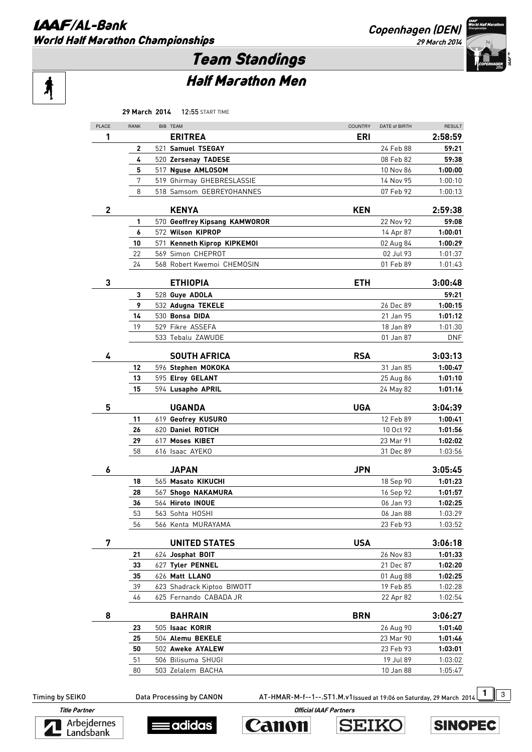Ą

**Copenhagen (DEN) 29 March 2014** 



# Team Standings

## Half Marathon Men

|              | 29 March 2014 | <b>12:55 START TIME</b>               |                |               |               |
|--------------|---------------|---------------------------------------|----------------|---------------|---------------|
| PLACE        | <b>RANK</b>   | BIB TEAM                              | <b>COUNTRY</b> | DATE of BIRTH | <b>RESULT</b> |
| 1            |               | <b>ERITREA</b>                        | ERI            |               | 2:58:59       |
|              | 2             | 521 Samuel TSEGAY                     |                | 24 Feb 88     | 59:21         |
|              | 4             | 520 Zersenay TADESE                   |                | 08 Feb 82     | 59:38         |
|              | 5             | 517 Nguse AMLOSOM                     |                | 10 Nov 86     | 1:00:00       |
|              | 7             | 519 Ghirmay GHEBRESLASSIE             |                | 14 Nov 95     | 1:00:10       |
|              | 8             | 518 Samsom GEBREYOHANNES              |                | 07 Feb 92     | 1:00:13       |
|              |               |                                       |                |               |               |
| $\mathbf{2}$ |               | <b>KENYA</b>                          | <b>KEN</b>     |               | 2:59:38       |
|              | 1             | 570 Geoffrey Kipsang KAMWOROR         |                | 22 Nov 92     | 59:08         |
|              | 6             | 572 Wilson KIPROP                     |                | 14 Apr 87     | 1:00:01       |
|              | 10            | 571 Kenneth Kiprop KIPKEMOI           |                | 02 Aug 84     | 1:00:29       |
|              | 22            | 569 Simon CHEPROT                     |                | 02 Jul 93     | 1:01:37       |
|              | 24            | 568 Robert Kwemoi CHEMOSIN            |                | 01 Feb 89     | 1:01:43       |
| 3            |               | <b>ETHIOPIA</b>                       | <b>ETH</b>     |               | 3:00:48       |
|              | 3             | 528 Guye ADOLA                        |                |               | 59:21         |
|              | 9             | 532 Adugna TEKELE                     |                | 26 Dec 89     | 1:00:15       |
|              | 14            | 530 Bonsa DIDA                        |                | 21 Jan 95     | 1:01:12       |
|              | 19            | 529 Fikre ASSEFA                      |                | 18 Jan 89     | 1:01:30       |
|              |               | 533 Tebalu ZAWUDE                     |                | 01 Jan 87     | <b>DNF</b>    |
|              |               |                                       |                |               |               |
| 4            |               | <b>SOUTH AFRICA</b>                   | <b>RSA</b>     |               | 3:03:13       |
|              | 12            | 596 Stephen MOKOKA                    |                | 31 Jan 85     | 1:00:47       |
|              | 13            | 595 Elroy GELANT                      |                | 25 Aug 86     | 1:01:10       |
|              | 15            | 594 Lusapho APRIL                     |                | 24 May 82     | 1:01:16       |
| 5            |               | <b>UGANDA</b>                         | <b>UGA</b>     |               | 3:04:39       |
|              | 11            | 619 Geofrey KUSURO                    |                | 12 Feb 89     | 1:00:41       |
|              | 26            | 620 Daniel ROTICH                     |                | 10 Oct 92     | 1:01:56       |
|              | 29            | 617 Moses KIBET                       |                | 23 Mar 91     | 1:02:02       |
|              | 58            | 616 Isaac AYEKO                       |                | 31 Dec 89     | 1:03:56       |
|              |               |                                       |                |               |               |
| 6            |               | <b>JAPAN</b>                          | <b>JPN</b>     |               | 3:05:45       |
|              | 18            | 565 Masato KIKUCHI                    |                | 18 Sep 90     | 1:01:23       |
|              | 28            | 567 Shogo NAKAMURA                    |                | 16 Sep 92     | 1:01:57       |
|              | 36            | 564 Hiroto INOUE                      |                | 06 Jan 93     | 1:02:25       |
|              | 53            | 563 Sohta HOSHI<br>566 Kenta MURAYAMA |                | 06 Jan 88     | 1:03:29       |
|              | 56            |                                       |                | 23 Feb 93     | 1:03:52       |
| 7            |               | <b>UNITED STATES</b>                  | <b>USA</b>     |               | 3:06:18       |
|              | 21            | 624 Josphat BOIT                      |                | 26 Nov 83     | 1:01:33       |
|              | 33            | 627 Tyler PENNEL                      |                | 21 Dec 87     | 1:02:20       |
|              | 35            | 626 Matt LLANO                        |                | 01 Aug 88     | 1:02:25       |
|              | 39            | 623 Shadrack Kiptoo BIWOTT            |                | 19 Feb 85     | 1:02:28       |
|              | 46            | 625 Fernando CABADA JR                |                | 22 Apr 82     | 1:02:54       |
| 8            |               | <b>BAHRAIN</b>                        | <b>BRN</b>     |               | 3:06:27       |
|              | 23            | 505 Isaac KORIR                       |                | 26 Aug 90     | 1:01:40       |
|              | 25            | 504 Alemu BEKELE                      |                | 23 Mar 90     | 1:01:46       |
|              | 50            | 502 Aweke AYALEW                      |                | 23 Feb 93     | 1:03:01       |
|              | 51            | 506 Bilisuma SHUGI                    |                | 19 Jul 89     | 1:03:02       |
|              | 80            | 503 Zelalem BACHA                     |                | 10 Jan 88     | 1:05:47       |
|              |               |                                       |                |               |               |

Timing by SEIKO Data Processing by CANON AT-HMAR-M-f--1--.ST1.M.v1Issued at 19:06 on Saturday, 29 March 2014 1 3









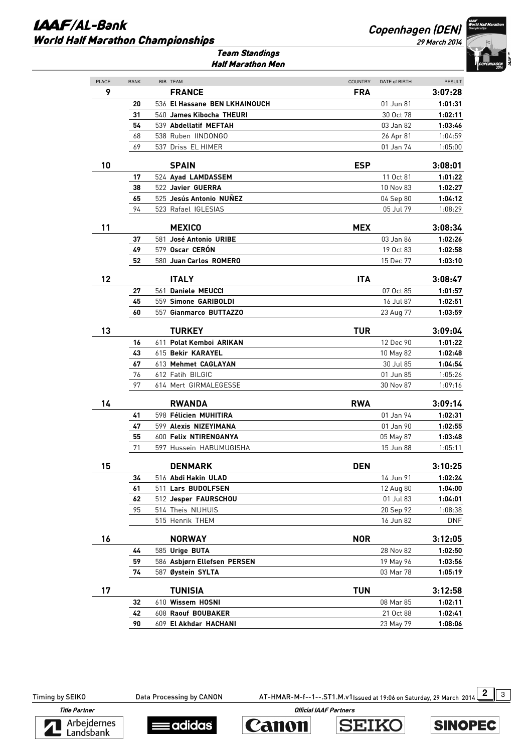#### **IAAF/AL-Bank** World Half Marathon Championships

### **Copenhagen (DEN)**

**29 March 2014** 



Team Standings Half Marathon Men

| PLACE | RANK |                               |                              | DATE of BIRTH |                          |
|-------|------|-------------------------------|------------------------------|---------------|--------------------------|
| 9     |      | BIB TEAM<br><b>FRANCE</b>     | <b>COUNTRY</b><br><b>FRA</b> |               | <b>RESULT</b><br>3:07:28 |
|       | 20   | 536 El Hassane BEN LKHAINOUCH |                              | 01 Jun 81     | 1:01:31                  |
|       | 31   | 540 James Kibocha THEURI      |                              | 30 Oct 78     | 1:02:11                  |
|       | 54   | 539 Abdellatif MEFTAH         |                              | 03 Jan 82     | 1:03:46                  |
|       | 68   | 538 Ruben IINDONGO            |                              | 26 Apr 81     | 1:04:59                  |
|       | 69   | 537 Driss EL HIMER            |                              | 01 Jan 74     | 1:05:00                  |
| 10    |      | <b>SPAIN</b>                  | <b>ESP</b>                   |               | 3:08:01                  |
|       | 17   | 524 Ayad LAMDASSEM            |                              | 11 Oct 81     | 1:01:22                  |
|       | 38   | 522 Javier GUERRA             |                              | 10 Nov 83     | 1:02:27                  |
|       | 65   | 525 Jesús Antonio NUNEZ       |                              | 04 Sep 80     | 1:04:12                  |
|       | 94   | 523 Rafael IGLESIAS           |                              | 05 Jul 79     | 1:08:29                  |
|       |      |                               |                              |               |                          |
| 11    |      | <b>MEXICO</b>                 | <b>MEX</b>                   |               | 3:08:34                  |
|       | 37   | 581 José Antonio URIBE        |                              | 03 Jan 86     | 1:02:26                  |
|       | 49   | 579 Oscar CERÓN               |                              | 19 Oct 83     | 1:02:58                  |
|       | 52   | 580 Juan Carlos ROMERO        |                              | 15 Dec 77     | 1:03:10                  |
| 12    |      | <b>ITALY</b>                  | <b>ITA</b>                   |               | 3:08:47                  |
|       | 27   | 561 Daniele MEUCCI            |                              | 07 Oct 85     | 1:01:57                  |
|       | 45   | 559 Simone GARIBOLDI          |                              | 16 Jul 87     | 1:02:51                  |
|       | 60   | 557 Gianmarco BUTTAZZO        |                              | 23 Aug 77     | 1:03:59                  |
| 13    |      | <b>TURKEY</b>                 | <b>TUR</b>                   |               | 3:09:04                  |
|       | 16   | 611 Polat Kemboi ARIKAN       |                              | 12 Dec 90     | 1:01:22                  |
|       | 43   | 615 Bekir KARAYEL             |                              | 10 May 82     | 1:02:48                  |
|       | 67   | 613 Mehmet CAGLAYAN           |                              | 30 Jul 85     | 1:04:54                  |
|       | 76   | 612 Fatih BILGIC              |                              | 01 Jun 85     | 1:05:26                  |
|       | 97   | 614 Mert GIRMALEGESSE         |                              | 30 Nov 87     | 1:09:16                  |
|       |      |                               |                              |               |                          |
| 14    |      | <b>RWANDA</b>                 | <b>RWA</b>                   |               | 3:09:14                  |
|       | 41   | 598 Félicien MUHITIRA         |                              | 01 Jan 94     | 1:02:31                  |
|       | 47   | 599 Alexis NIZEYIMANA         |                              | 01 Jan 90     | 1:02:55                  |
|       | 55   | 600 Felix NTIRENGANYA         |                              | 05 May 87     | 1:03:48                  |
|       | 71   | 597 Hussein HABUMUGISHA       |                              | 15 Jun 88     | 1:05:11                  |
| 15    |      | <b>DENMARK</b>                | <b>DEN</b>                   |               | 3:10:25                  |
|       | 34   | 516 Abdi Hakin ULAD           |                              | 14 Jun 91     | 1:02:24                  |
|       | 61   | 511 Lars BUDOLFSEN            |                              | 12 Aug 80     | 1:04:00                  |
|       | 62   | 512 Jesper FAURSCHOU          |                              | 01 Jul 83     | 1:04:01                  |
|       | 95   | 514 Theis NIJHUIS             |                              | 20 Sep 92     | 1:08:38                  |
|       |      | 515 Henrik THEM               |                              | 16 Jun 82     | DNF                      |
| 16    |      | <b>NORWAY</b>                 | <b>NOR</b>                   |               | 3:12:05                  |
|       | 44   | 585 Urige BUTA                |                              | 28 Nov 82     | 1:02:50                  |
|       | 59   | 586 Asbjørn Ellefsen PERSEN   |                              | 19 May 96     | 1:03:56                  |
|       | 74   | 587 Øystein SYLTA             |                              | 03 Mar 78     | 1:05:19                  |
| 17    |      | <b>TUNISIA</b>                | <b>TUN</b>                   |               | 3:12:58                  |
|       | 32   | 610 Wissem HOSNI              |                              | 08 Mar 85     | 1:02:11                  |
|       | 42   | 608 Raouf BOUBAKER            |                              | 21 Oct 88     | 1:02:41                  |
|       | 90   | 609 El Akhdar HACHANI         |                              | 23 May 79     | 1:08:06                  |
|       |      |                               |                              |               |                          |

Timing by SEIKO Data Processing by CANON AT-HMAR-M-f--1--.ST1.M.v1Issued at 19:06 on Saturday, 29 March 2014 2 3